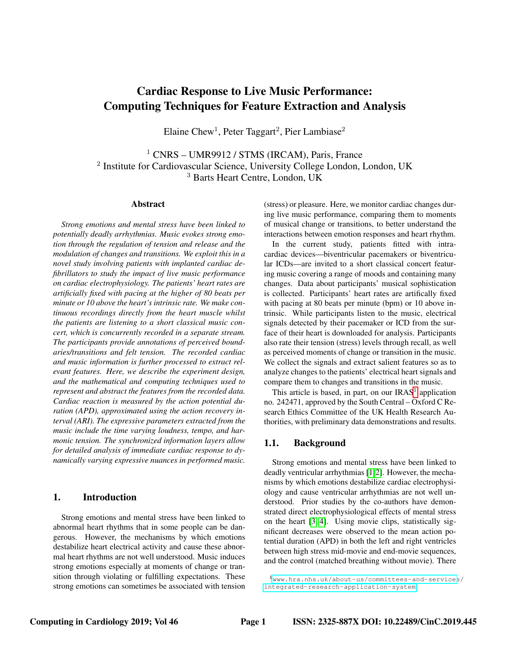# Cardiac Response to Live Music Performance: Computing Techniques for Feature Extraction and Analysis

Elaine Chew<sup>1</sup>, Peter Taggart<sup>2</sup>, Pier Lambiase<sup>2</sup>

<sup>1</sup> CNRS – UMR9912 / STMS (IRCAM), Paris, France <sup>2</sup> Institute for Cardiovascular Science, University College London, London, UK <sup>3</sup> Barts Heart Centre, London, UK

#### Abstract

*Strong emotions and mental stress have been linked to potentially deadly arrhythmias. Music evokes strong emotion through the regulation of tension and release and the modulation of changes and transitions. We exploit this in a novel study involving patients with implanted cardiac defibrillators to study the impact of live music performance on cardiac electrophysiology. The patients' heart rates are artificially fixed with pacing at the higher of 80 beats per minute or 10 above the heart's intrinsic rate. We make continuous recordings directly from the heart muscle whilst the patients are listening to a short classical music concert, which is concurrently recorded in a separate stream. The participants provide annotations of perceived boundaries/transitions and felt tension. The recorded cardiac and music information is further processed to extract relevant features. Here, we describe the experiment design, and the mathematical and computing techniques used to represent and abstract the features from the recorded data. Cardiac reaction is measured by the action potential duration (APD), approximated using the action recovery interval (ARI). The expressive parameters extracted from the music include the time varying loudness, tempo, and harmonic tension. The synchronized information layers allow for detailed analysis of immediate cardiac response to dynamically varying expressive nuances in performed music.*

# 1. Introduction

Strong emotions and mental stress have been linked to abnormal heart rhythms that in some people can be dangerous. However, the mechanisms by which emotions destabilize heart electrical activity and cause these abnormal heart rhythms are not well understood. Music induces strong emotions especially at moments of change or transition through violating or fulfilling expectations. These strong emotions can sometimes be associated with tension (stress) or pleasure. Here, we monitor cardiac changes during live music performance, comparing them to moments of musical change or transitions, to better understand the interactions between emotion responses and heart rhythm.

In the current study, patients fitted with intracardiac devices—biventricular pacemakers or biventricular ICDs—are invited to a short classical concert featuring music covering a range of moods and containing many changes. Data about participants' musical sophistication is collected. Participants' heart rates are artifically fixed with pacing at 80 beats per minute (bpm) or 10 above intrinsic. While participants listen to the music, electrical signals detected by their pacemaker or ICD from the surface of their heart is downloaded for analysis. Participants also rate their tension (stress) levels through recall, as well as perceived moments of change or transition in the music. We collect the signals and extract salient features so as to analyze changes to the patients' electrical heart signals and compare them to changes and transitions in the music.

This article is based, in part, on our  $IRAS<sup>1</sup>$  $IRAS<sup>1</sup>$  $IRAS<sup>1</sup>$  application no. 242471, approved by the South Central – Oxford C Research Ethics Committee of the UK Health Research Authorities, with preliminary data demonstrations and results.

# 1.1. Background

Strong emotions and mental stress have been linked to deadly ventricular arrhythmias [\[1,](#page-3-0)[2\]](#page-3-1). However, the mechanisms by which emotions destabilize cardiac electrophysiology and cause ventricular arrhythmias are not well understood. Prior studies by the co-authors have demonstrated direct electrophysiological effects of mental stress on the heart [\[3,](#page-3-2) [4\]](#page-3-3). Using movie clips, statistically significant decreases were observed to the mean action potential duration (APD) in both the left and right ventricles between high stress mid-movie and end-movie sequences, and the control (matched breathing without movie). There

<span id="page-0-0"></span><sup>1</sup>[www.hra.nhs.uk/about-us/committees-and-services](www.hra.nhs.uk/about-us/committees-and-services/integrated-research-application-system)/ [integrated-research-application-system](www.hra.nhs.uk/about-us/committees-and-services/integrated-research-application-system)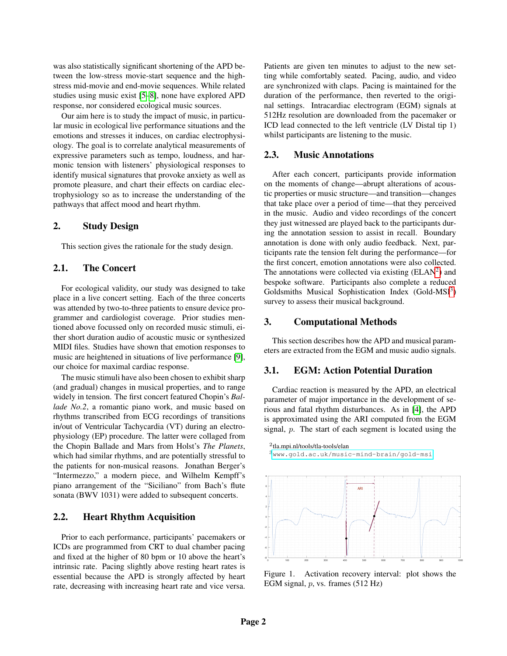was also statistically significant shortening of the APD between the low-stress movie-start sequence and the highstress mid-movie and end-movie sequences. While related studies using music exist [\[5](#page-3-4)[–8\]](#page-3-5), none have explored APD response, nor considered ecological music sources.

Our aim here is to study the impact of music, in particular music in ecological live performance situations and the emotions and stresses it induces, on cardiac electrophysiology. The goal is to correlate analytical measurements of expressive parameters such as tempo, loudness, and harmonic tension with listeners' physiological responses to identify musical signatures that provoke anxiety as well as promote pleasure, and chart their effects on cardiac electrophysiology so as to increase the understanding of the pathways that affect mood and heart rhythm.

### 2. Study Design

This section gives the rationale for the study design.

# 2.1. The Concert

For ecological validity, our study was designed to take place in a live concert setting. Each of the three concerts was attended by two-to-three patients to ensure device programmer and cardiologist coverage. Prior studies mentioned above focussed only on recorded music stimuli, either short duration audio of acoustic music or synthesized MIDI files. Studies have shown that emotion responses to music are heightened in situations of live performance [\[9\]](#page-3-6), our choice for maximal cardiac response.

The music stimuli have also been chosen to exhibit sharp (and gradual) changes in musical properties, and to range widely in tension. The first concert featured Chopin's *Ballade No.2*, a romantic piano work, and music based on rhythms transcribed from ECG recordings of transitions in/out of Ventricular Tachycardia (VT) during an electrophysiology (EP) procedure. The latter were collaged from the Chopin Ballade and Mars from Holst's *The Planets*, which had similar rhythms, and are potentially stressful to the patients for non-musical reasons. Jonathan Berger's "Intermezzo," a modern piece, and Wilhelm Kempff's piano arrangement of the "Siciliano" from Bach's flute sonata (BWV 1031) were added to subsequent concerts.

# 2.2. Heart Rhythm Acquisition

Prior to each performance, participants' pacemakers or ICDs are programmed from CRT to dual chamber pacing and fixed at the higher of 80 bpm or 10 above the heart's intrinsic rate. Pacing slightly above resting heart rates is essential because the APD is strongly affected by heart rate, decreasing with increasing heart rate and vice versa. Patients are given ten minutes to adjust to the new setting while comfortably seated. Pacing, audio, and video are synchronized with claps. Pacing is maintained for the duration of the performance, then reverted to the original settings. Intracardiac electrogram (EGM) signals at 512Hz resolution are downloaded from the pacemaker or ICD lead connected to the left ventricle (LV Distal tip 1) whilst participants are listening to the music.

#### 2.3. Music Annotations

After each concert, participants provide information on the moments of change—abrupt alterations of acoustic properties or music structure—and transition—changes that take place over a period of time—that they perceived in the music. Audio and video recordings of the concert they just witnessed are played back to the participants during the annotation session to assist in recall. Boundary annotation is done with only audio feedback. Next, participants rate the tension felt during the performance—for the first concert, emotion annotations were also collected. The annotations were collected via existing  $(ELAN<sup>2</sup>)$  $(ELAN<sup>2</sup>)$  $(ELAN<sup>2</sup>)$  and bespoke software. Participants also complete a reduced Goldsmiths Musical Sophistication Index (Gold-MSI<sup>[3](#page-1-1)</sup>) survey to assess their musical background.

#### 3. Computational Methods

This section describes how the APD and musical parameters are extracted from the EGM and music audio signals.

## 3.1. EGM: Action Potential Duration

Cardiac reaction is measured by the APD, an electrical parameter of major importance in the development of serious and fatal rhythm disturbances. As in [\[4\]](#page-3-3), the APD is approximated using the ARI computed from the EGM signal, p. The start of each segment is located using the

<span id="page-1-0"></span>

<span id="page-1-1"></span><sup>3</sup><www.gold.ac.uk/music-mind-brain/gold-msi>



<span id="page-1-2"></span>Figure 1. Activation recovery interval: plot shows the EGM signal, p, vs. frames (512 Hz)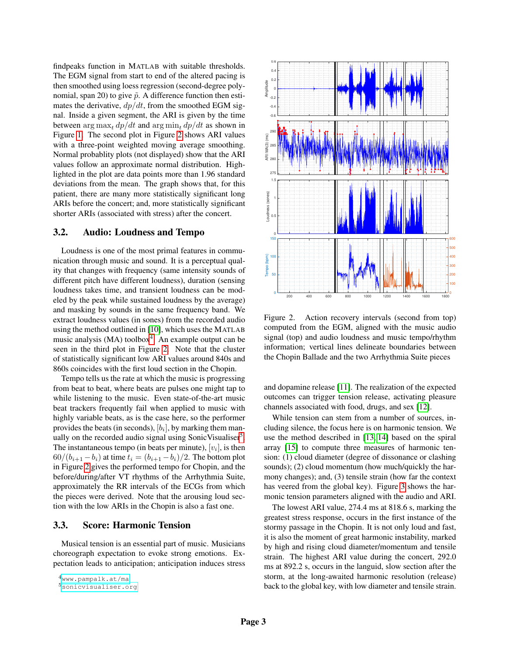findpeaks function in MATLAB with suitable thresholds. The EGM signal from start to end of the altered pacing is then smoothed using loess regression (second-degree polynomial, span 20) to give  $\tilde{p}$ . A difference function then estimates the derivative,  $dp/dt$ , from the smoothed EGM signal. Inside a given segment, the ARI is given by the time between  $\arg \max_t dp/dt$  and  $\arg \min_t dp/dt$  as shown in Figure [1.](#page-1-2) The second plot in Figure [2](#page-2-0) shows ARI values with a three-point weighted moving average smoothing. Normal probablity plots (not displayed) show that the ARI values follow an approximate normal distribution. Highlighted in the plot are data points more than 1.96 standard deviations from the mean. The graph shows that, for this patient, there are many more statistically significant long ARIs before the concert; and, more statistically significant shorter ARIs (associated with stress) after the concert.

# 3.2. Audio: Loudness and Tempo

Loudness is one of the most primal features in communication through music and sound. It is a perceptual quality that changes with frequency (same intensity sounds of different pitch have different loudness), duration (sensing loudness takes time, and transient loudness can be modeled by the peak while sustained loudness by the average) and masking by sounds in the same frequency band. We extract loudness values (in sones) from the recorded audio using the method outlined in [\[10\]](#page-3-7), which uses the MATLAB music analysis (MA) toolbox<sup>[4](#page-2-1)</sup>. An example output can be seen in the third plot in Figure [2.](#page-2-0) Note that the cluster of statistically significant low ARI values around 840s and 860s coincides with the first loud section in the Chopin.

Tempo tells us the rate at which the music is progressing from beat to beat, where beats are pulses one might tap to while listening to the music. Even state-of-the-art music beat trackers frequently fail when applied to music with highly variable beats, as is the case here, so the performer provides the beats (in seconds),  $[b_i]$ , by marking them man-ually on the recorded audio signal using Sonic Visualiser<sup>[5](#page-2-2)</sup>. The instantaneous tempo (in beats per minute),  $[v_i]$ , is then  $60/(b_{i+1}-b_i)$  at time  $t_i = (b_{i+1}-b_i)/2$ . The bottom plot in Figure [2](#page-2-0) gives the performed tempo for Chopin, and the before/during/after VT rhythms of the Arrhythmia Suite, approximately the RR intervals of the ECGs from which the pieces were derived. Note that the arousing loud section with the low ARIs in the Chopin is also a fast one.

## 3.3. Score: Harmonic Tension

Musical tension is an essential part of music. Musicians choreograph expectation to evoke strong emotions. Expectation leads to anticipation; anticipation induces stress

<span id="page-2-1"></span><sup>4</sup><www.pampalk.at/ma>



<span id="page-2-0"></span>Figure 2. Action recovery intervals (second from top) computed from the EGM, aligned with the music audio signal (top) and audio loudness and music tempo/rhythm information; vertical lines delineate boundaries between the Chopin Ballade and the two Arrhythmia Suite pieces

and dopamine release [\[11\]](#page-3-8). The realization of the expected outcomes can trigger tension release, activating pleasure channels associated with food, drugs, and sex [\[12\]](#page-3-9).

While tension can stem from a number of sources, including silence, the focus here is on harmonic tension. We use the method described in [\[13,](#page-3-10) [14\]](#page-3-11) based on the spiral array [\[15\]](#page-3-12) to compute three measures of harmonic tension: (1) cloud diameter (degree of dissonance or clashing sounds); (2) cloud momentum (how much/quickly the harmony changes); and, (3) tensile strain (how far the context has veered from the global key). Figure [3](#page-3-13) shows the harmonic tension parameters aligned with the audio and ARI.

The lowest ARI value, 274.4 ms at 818.6 s, marking the greatest stress response, occurs in the first instance of the stormy passage in the Chopin. It is not only loud and fast, it is also the moment of great harmonic instability, marked by high and rising cloud diameter/momentum and tensile strain. The highest ARI value during the concert, 292.0 ms at 892.2 s, occurs in the languid, slow section after the storm, at the long-awaited harmonic resolution (release) back to the global key, with low diameter and tensile strain.

<span id="page-2-2"></span><sup>5</sup><sonicvisualiser.org>